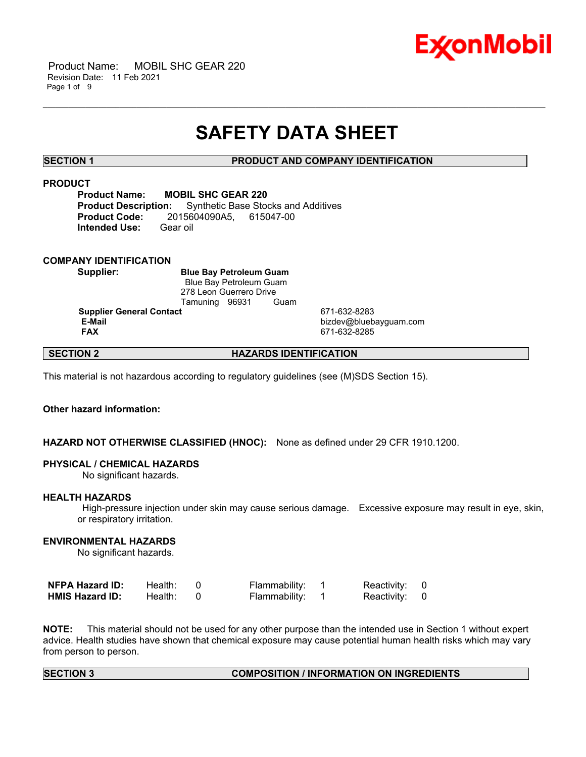

 Product Name: MOBIL SHC GEAR 220 Revision Date: 11 Feb 2021 Page 1 of 9

# **SAFETY DATA SHEET**

\_\_\_\_\_\_\_\_\_\_\_\_\_\_\_\_\_\_\_\_\_\_\_\_\_\_\_\_\_\_\_\_\_\_\_\_\_\_\_\_\_\_\_\_\_\_\_\_\_\_\_\_\_\_\_\_\_\_\_\_\_\_\_\_\_\_\_\_\_\_\_\_\_\_\_\_\_\_\_\_\_\_\_\_\_\_\_\_\_\_\_\_\_\_\_\_\_\_\_\_\_\_\_\_\_\_\_\_\_\_\_\_\_\_\_\_\_\_

# **SECTION 1 PRODUCT AND COMPANY IDENTIFICATION**

# **PRODUCT**

**Product Name: MOBIL SHC GEAR 220 Product Description:** Synthetic Base Stocks and Additives **Product Code:** 2015604090A5, 615047-00 **Intended Use:** Gear oil

# **COMPANY IDENTIFICATION**

**Supplier: Blue Bay Petroleum Guam** Blue Bay Petroleum Guam 278 Leon Guerrero Drive Tamuning 96931 Guam

**Supplier General Contact** 671-632-8283<br> **E-Mail** bizdev@blueb

 **E-Mail** bizdev@bluebayguam.com  **FAX** 671-632-8285

# **SECTION 2 HAZARDS IDENTIFICATION**

This material is not hazardous according to regulatory guidelines (see (M)SDS Section 15).

# **Other hazard information:**

# **HAZARD NOT OTHERWISE CLASSIFIED (HNOC):** None as defined under 29 CFR 1910.1200.

### **PHYSICAL / CHEMICAL HAZARDS**

No significant hazards.

#### **HEALTH HAZARDS**

 High-pressure injection under skin may cause serious damage. Excessive exposure may result in eye, skin, or respiratory irritation.

# **ENVIRONMENTAL HAZARDS**

No significant hazards.

| NFPA Hazard ID:        | Health: | Flammability: | Reactivity: 0 |  |
|------------------------|---------|---------------|---------------|--|
| <b>HMIS Hazard ID:</b> | Health: | Flammability: | Reactivity: 0 |  |

**NOTE:** This material should not be used for any other purpose than the intended use in Section 1 without expert advice. Health studies have shown that chemical exposure may cause potential human health risks which may vary from person to person.

# **SECTION 3 COMPOSITION / INFORMATION ON INGREDIENTS**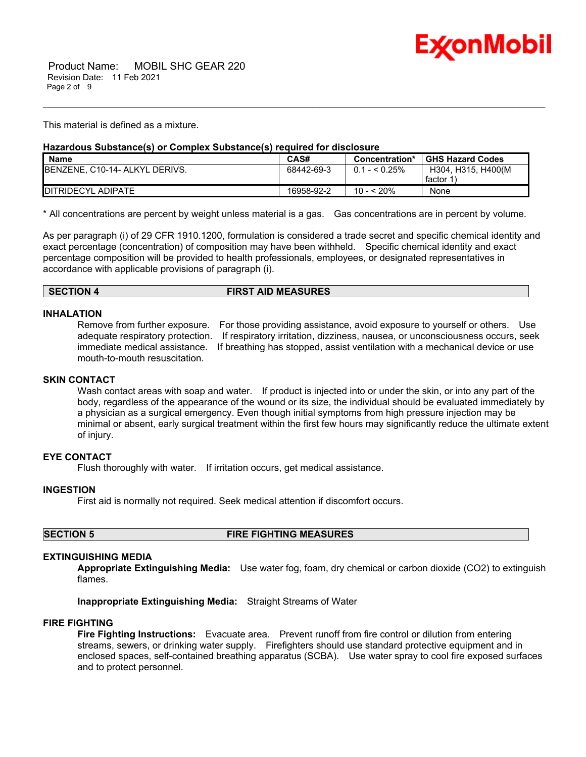

This material is defined as a mixture.

# **Hazardous Substance(s) or Complex Substance(s) required for disclosure**

| <b>Name</b>                            | CAS#       | Concentration*  | <b>GHS Hazard Codes</b> |
|----------------------------------------|------------|-----------------|-------------------------|
| <b>IBENZENE, C10-14- ALKYL DERIVS.</b> | 68442-69-3 | $0.1 -  0.25\%$ | H304. H315. H400(M      |
|                                        |            |                 | factor 1                |
| <b>IDITRIDECYL ADIPATE</b>             | 16958-92-2 | 10 - < 20%      | None                    |

\_\_\_\_\_\_\_\_\_\_\_\_\_\_\_\_\_\_\_\_\_\_\_\_\_\_\_\_\_\_\_\_\_\_\_\_\_\_\_\_\_\_\_\_\_\_\_\_\_\_\_\_\_\_\_\_\_\_\_\_\_\_\_\_\_\_\_\_\_\_\_\_\_\_\_\_\_\_\_\_\_\_\_\_\_\_\_\_\_\_\_\_\_\_\_\_\_\_\_\_\_\_\_\_\_\_\_\_\_\_\_\_\_\_\_\_\_\_

\* All concentrations are percent by weight unless material is a gas. Gas concentrations are in percent by volume.

As per paragraph (i) of 29 CFR 1910.1200, formulation is considered a trade secret and specific chemical identity and exact percentage (concentration) of composition may have been withheld. Specific chemical identity and exact percentage composition will be provided to health professionals, employees, or designated representatives in accordance with applicable provisions of paragraph (i).

### **SECTION 4 FIRST AID MEASURES**

#### **INHALATION**

Remove from further exposure. For those providing assistance, avoid exposure to yourself or others. Use adequate respiratory protection. If respiratory irritation, dizziness, nausea, or unconsciousness occurs, seek immediate medical assistance. If breathing has stopped, assist ventilation with a mechanical device or use mouth-to-mouth resuscitation.

# **SKIN CONTACT**

Wash contact areas with soap and water. If product is injected into or under the skin, or into any part of the body, regardless of the appearance of the wound or its size, the individual should be evaluated immediately by a physician as a surgical emergency. Even though initial symptoms from high pressure injection may be minimal or absent, early surgical treatment within the first few hours may significantly reduce the ultimate extent of injury.

# **EYE CONTACT**

Flush thoroughly with water. If irritation occurs, get medical assistance.

# **INGESTION**

First aid is normally not required. Seek medical attention if discomfort occurs.

**SECTION 5 FIRE FIGHTING MEASURES**

# **EXTINGUISHING MEDIA**

**Appropriate Extinguishing Media:** Use water fog, foam, dry chemical or carbon dioxide (CO2) to extinguish flames.

**Inappropriate Extinguishing Media:** Straight Streams of Water

#### **FIRE FIGHTING**

**Fire Fighting Instructions:** Evacuate area. Prevent runoff from fire control or dilution from entering streams, sewers, or drinking water supply. Firefighters should use standard protective equipment and in enclosed spaces, self-contained breathing apparatus (SCBA). Use water spray to cool fire exposed surfaces and to protect personnel.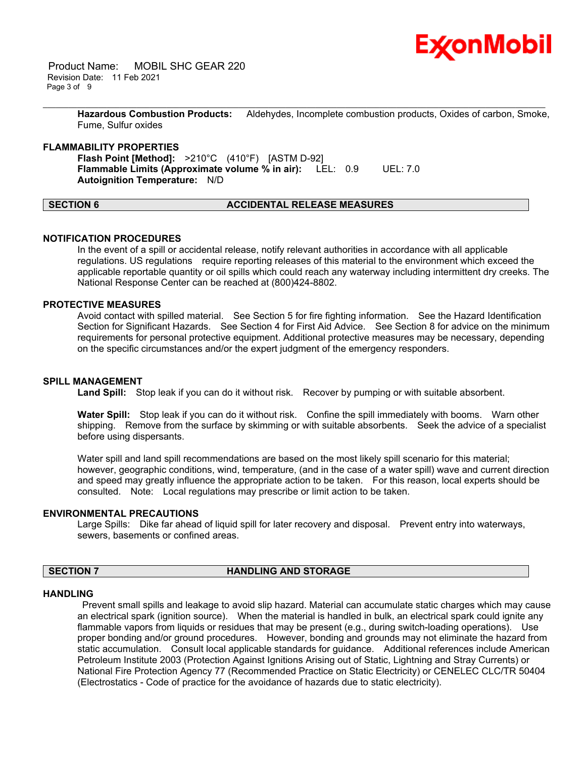

 Product Name: MOBIL SHC GEAR 220 Revision Date: 11 Feb 2021 Page 3 of 9

> **Hazardous Combustion Products:** Aldehydes, Incomplete combustion products, Oxides of carbon, Smoke, Fume, Sulfur oxides

\_\_\_\_\_\_\_\_\_\_\_\_\_\_\_\_\_\_\_\_\_\_\_\_\_\_\_\_\_\_\_\_\_\_\_\_\_\_\_\_\_\_\_\_\_\_\_\_\_\_\_\_\_\_\_\_\_\_\_\_\_\_\_\_\_\_\_\_\_\_\_\_\_\_\_\_\_\_\_\_\_\_\_\_\_\_\_\_\_\_\_\_\_\_\_\_\_\_\_\_\_\_\_\_\_\_\_\_\_\_\_\_\_\_\_\_\_\_

### **FLAMMABILITY PROPERTIES**

**Flash Point [Method]:** >210°C (410°F) [ASTM D-92] **Flammable Limits (Approximate volume % in air):** LEL: 0.9 UEL: 7.0 **Autoignition Temperature:** N/D

# **SECTION 6 ACCIDENTAL RELEASE MEASURES**

### **NOTIFICATION PROCEDURES**

In the event of a spill or accidental release, notify relevant authorities in accordance with all applicable regulations. US regulations require reporting releases of this material to the environment which exceed the applicable reportable quantity or oil spills which could reach any waterway including intermittent dry creeks. The National Response Center can be reached at (800)424-8802.

# **PROTECTIVE MEASURES**

Avoid contact with spilled material. See Section 5 for fire fighting information. See the Hazard Identification Section for Significant Hazards. See Section 4 for First Aid Advice. See Section 8 for advice on the minimum requirements for personal protective equipment. Additional protective measures may be necessary, depending on the specific circumstances and/or the expert judgment of the emergency responders.

### **SPILL MANAGEMENT**

Land Spill: Stop leak if you can do it without risk. Recover by pumping or with suitable absorbent.

**Water Spill:** Stop leak if you can do it without risk. Confine the spill immediately with booms. Warn other shipping. Remove from the surface by skimming or with suitable absorbents. Seek the advice of a specialist before using dispersants.

Water spill and land spill recommendations are based on the most likely spill scenario for this material; however, geographic conditions, wind, temperature, (and in the case of a water spill) wave and current direction and speed may greatly influence the appropriate action to be taken. For this reason, local experts should be consulted. Note: Local regulations may prescribe or limit action to be taken.

#### **ENVIRONMENTAL PRECAUTIONS**

Large Spills: Dike far ahead of liquid spill for later recovery and disposal. Prevent entry into waterways, sewers, basements or confined areas.

### **SECTION 7 HANDLING AND STORAGE**

#### **HANDLING**

 Prevent small spills and leakage to avoid slip hazard. Material can accumulate static charges which may cause an electrical spark (ignition source). When the material is handled in bulk, an electrical spark could ignite any flammable vapors from liquids or residues that may be present (e.g., during switch-loading operations). Use proper bonding and/or ground procedures. However, bonding and grounds may not eliminate the hazard from static accumulation. Consult local applicable standards for guidance. Additional references include American Petroleum Institute 2003 (Protection Against Ignitions Arising out of Static, Lightning and Stray Currents) or National Fire Protection Agency 77 (Recommended Practice on Static Electricity) or CENELEC CLC/TR 50404 (Electrostatics - Code of practice for the avoidance of hazards due to static electricity).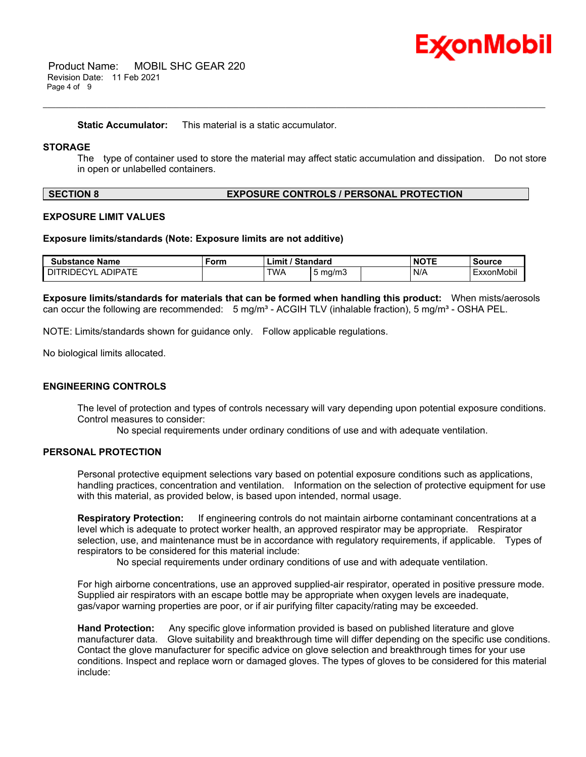

 Product Name: MOBIL SHC GEAR 220 Revision Date: 11 Feb 2021 Page 4 of 9

**Static Accumulator:** This material is a static accumulator.

# **STORAGE**

The type of container used to store the material may affect static accumulation and dissipation. Do not store in open or unlabelled containers.

\_\_\_\_\_\_\_\_\_\_\_\_\_\_\_\_\_\_\_\_\_\_\_\_\_\_\_\_\_\_\_\_\_\_\_\_\_\_\_\_\_\_\_\_\_\_\_\_\_\_\_\_\_\_\_\_\_\_\_\_\_\_\_\_\_\_\_\_\_\_\_\_\_\_\_\_\_\_\_\_\_\_\_\_\_\_\_\_\_\_\_\_\_\_\_\_\_\_\_\_\_\_\_\_\_\_\_\_\_\_\_\_\_\_\_\_\_\_

### **SECTION 8 EXPOSURE CONTROLS / PERSONAL PROTECTION**

#### **EXPOSURE LIMIT VALUES**

#### **Exposure limits/standards (Note: Exposure limits are not additive)**

| <b>Substance Name</b>               | Form | / Standard<br>$\mathsf{Limit}'$ |                  | <b>NOTE</b> | <b>Source</b> |
|-------------------------------------|------|---------------------------------|------------------|-------------|---------------|
| <b>ADIPATE</b><br><b>DITRIDECYL</b> |      | <b>TWA</b>                      | $5 \text{ ma/m}$ | N/A         | ExxonMobil    |

**Exposure limits/standards for materials that can be formed when handling this product:** When mists/aerosols can occur the following are recommended:  $5 \text{ mg/m}^3$  - ACGIH TLV (inhalable fraction),  $5 \text{ mg/m}^3$  - OSHA PEL.

NOTE: Limits/standards shown for guidance only. Follow applicable regulations.

No biological limits allocated.

#### **ENGINEERING CONTROLS**

The level of protection and types of controls necessary will vary depending upon potential exposure conditions. Control measures to consider:

No special requirements under ordinary conditions of use and with adequate ventilation.

# **PERSONAL PROTECTION**

Personal protective equipment selections vary based on potential exposure conditions such as applications, handling practices, concentration and ventilation. Information on the selection of protective equipment for use with this material, as provided below, is based upon intended, normal usage.

**Respiratory Protection:** If engineering controls do not maintain airborne contaminant concentrations at a level which is adequate to protect worker health, an approved respirator may be appropriate. Respirator selection, use, and maintenance must be in accordance with regulatory requirements, if applicable. Types of respirators to be considered for this material include:

No special requirements under ordinary conditions of use and with adequate ventilation.

For high airborne concentrations, use an approved supplied-air respirator, operated in positive pressure mode. Supplied air respirators with an escape bottle may be appropriate when oxygen levels are inadequate, gas/vapor warning properties are poor, or if air purifying filter capacity/rating may be exceeded.

**Hand Protection:** Any specific glove information provided is based on published literature and glove manufacturer data. Glove suitability and breakthrough time will differ depending on the specific use conditions. Contact the glove manufacturer for specific advice on glove selection and breakthrough times for your use conditions. Inspect and replace worn or damaged gloves. The types of gloves to be considered for this material include: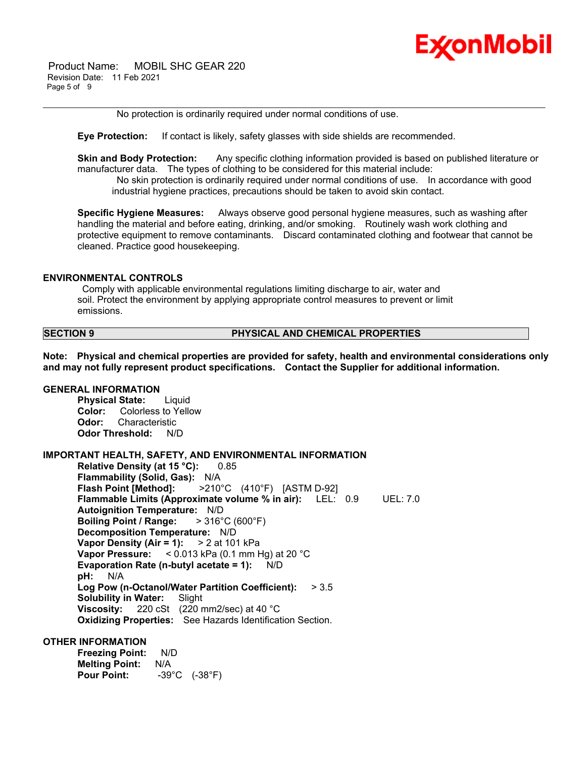

 Product Name: MOBIL SHC GEAR 220 Revision Date: 11 Feb 2021 Page 5 of 9

No protection is ordinarily required under normal conditions of use.

**Eye Protection:** If contact is likely, safety glasses with side shields are recommended.

**Skin and Body Protection:** Any specific clothing information provided is based on published literature or manufacturer data. The types of clothing to be considered for this material include:

\_\_\_\_\_\_\_\_\_\_\_\_\_\_\_\_\_\_\_\_\_\_\_\_\_\_\_\_\_\_\_\_\_\_\_\_\_\_\_\_\_\_\_\_\_\_\_\_\_\_\_\_\_\_\_\_\_\_\_\_\_\_\_\_\_\_\_\_\_\_\_\_\_\_\_\_\_\_\_\_\_\_\_\_\_\_\_\_\_\_\_\_\_\_\_\_\_\_\_\_\_\_\_\_\_\_\_\_\_\_\_\_\_\_\_\_\_\_

 No skin protection is ordinarily required under normal conditions of use. In accordance with good industrial hygiene practices, precautions should be taken to avoid skin contact.

**Specific Hygiene Measures:** Always observe good personal hygiene measures, such as washing after handling the material and before eating, drinking, and/or smoking. Routinely wash work clothing and protective equipment to remove contaminants. Discard contaminated clothing and footwear that cannot be cleaned. Practice good housekeeping.

#### **ENVIRONMENTAL CONTROLS**

 Comply with applicable environmental regulations limiting discharge to air, water and soil. Protect the environment by applying appropriate control measures to prevent or limit emissions.

## **SECTION 9 PHYSICAL AND CHEMICAL PROPERTIES**

**Note: Physical and chemical properties are provided for safety, health and environmental considerations only and may not fully represent product specifications. Contact the Supplier for additional information.**

# **GENERAL INFORMATION**

**Physical State:** Liquid **Color:** Colorless to Yellow **Odor:** Characteristic **Odor Threshold:** N/D

#### **IMPORTANT HEALTH, SAFETY, AND ENVIRONMENTAL INFORMATION**

**Relative Density (at 15 °C):** 0.85 **Flammability (Solid, Gas):** N/A **Flash Point [Method]:** >210°C (410°F) [ASTM D-92] **Flammable Limits (Approximate volume % in air):** LEL: 0.9 UEL: 7.0 **Autoignition Temperature:** N/D **Boiling Point / Range:** > 316°C (600°F) **Decomposition Temperature:** N/D **Vapor Density (Air = 1):** > 2 at 101 kPa **Vapor Pressure:** < 0.013 kPa (0.1 mm Hg) at 20 °C **Evaporation Rate (n-butyl acetate = 1):** N/D **pH:** N/A **Log Pow (n-Octanol/Water Partition Coefficient):** > 3.5 **Solubility in Water:** Slight **Viscosity:** 220 cSt (220 mm2/sec) at 40 °C **Oxidizing Properties:** See Hazards Identification Section.

### **OTHER INFORMATION**

**Freezing Point:** N/D **Melting Point:** N/A **Pour Point:** -39°C (-38°F)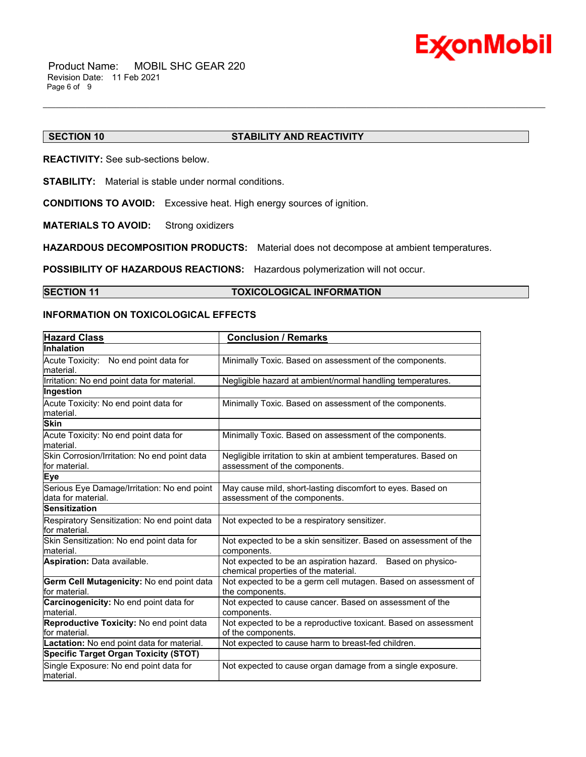

# **SECTION 10 STABILITY AND REACTIVITY**

**REACTIVITY:** See sub-sections below.

**STABILITY:** Material is stable under normal conditions.

**CONDITIONS TO AVOID:** Excessive heat. High energy sources of ignition.

**MATERIALS TO AVOID:** Strong oxidizers

**HAZARDOUS DECOMPOSITION PRODUCTS:** Material does not decompose at ambient temperatures.

**POSSIBILITY OF HAZARDOUS REACTIONS:** Hazardous polymerization will not occur.

### **SECTION 11 TOXICOLOGICAL INFORMATION**

\_\_\_\_\_\_\_\_\_\_\_\_\_\_\_\_\_\_\_\_\_\_\_\_\_\_\_\_\_\_\_\_\_\_\_\_\_\_\_\_\_\_\_\_\_\_\_\_\_\_\_\_\_\_\_\_\_\_\_\_\_\_\_\_\_\_\_\_\_\_\_\_\_\_\_\_\_\_\_\_\_\_\_\_\_\_\_\_\_\_\_\_\_\_\_\_\_\_\_\_\_\_\_\_\_\_\_\_\_\_\_\_\_\_\_\_\_\_

# **INFORMATION ON TOXICOLOGICAL EFFECTS**

| <b>Hazard Class</b>                                               | <b>Conclusion / Remarks</b>                                                                        |
|-------------------------------------------------------------------|----------------------------------------------------------------------------------------------------|
| <b>Inhalation</b>                                                 |                                                                                                    |
| Acute Toxicity: No end point data for<br>lmaterial.               | Minimally Toxic. Based on assessment of the components.                                            |
| Irritation: No end point data for material.                       | Negligible hazard at ambient/normal handling temperatures.                                         |
| Ingestion                                                         |                                                                                                    |
| Acute Toxicity: No end point data for<br>material.                | Minimally Toxic. Based on assessment of the components.                                            |
| <b>Skin</b>                                                       |                                                                                                    |
| Acute Toxicity: No end point data for<br>material.                | Minimally Toxic. Based on assessment of the components.                                            |
| Skin Corrosion/Irritation: No end point data<br>lfor material.    | Negligible irritation to skin at ambient temperatures. Based on<br>assessment of the components.   |
| Eye                                                               |                                                                                                    |
| Serious Eye Damage/Irritation: No end point<br>data for material. | May cause mild, short-lasting discomfort to eyes. Based on<br>assessment of the components.        |
| <b>Sensitization</b>                                              |                                                                                                    |
| Respiratory Sensitization: No end point data<br>for material.     | Not expected to be a respiratory sensitizer.                                                       |
| Skin Sensitization: No end point data for<br>Imaterial.           | Not expected to be a skin sensitizer. Based on assessment of the<br>components.                    |
| Aspiration: Data available.                                       | Not expected to be an aspiration hazard. Based on physico-<br>chemical properties of the material. |
| Germ Cell Mutagenicity: No end point data<br>lfor material.       | Not expected to be a germ cell mutagen. Based on assessment of<br>the components.                  |
| Carcinogenicity: No end point data for<br>material.               | Not expected to cause cancer. Based on assessment of the<br>components.                            |
| Reproductive Toxicity: No end point data<br>for material.         | Not expected to be a reproductive toxicant. Based on assessment<br>of the components.              |
| Lactation: No end point data for material.                        | Not expected to cause harm to breast-fed children.                                                 |
| <b>Specific Target Organ Toxicity (STOT)</b>                      |                                                                                                    |
| Single Exposure: No end point data for<br>material.               | Not expected to cause organ damage from a single exposure.                                         |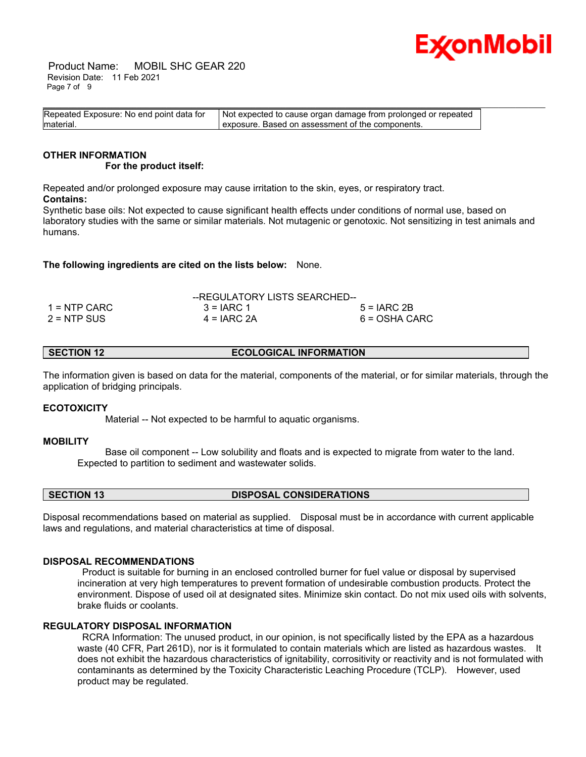

 Product Name: MOBIL SHC GEAR 220 Revision Date: 11 Feb 2021 Page 7 of 9

| Repeated Exposure: No end point data for | Not expected to cause organ damage from prolonged or repeated |  |
|------------------------------------------|---------------------------------------------------------------|--|
| material.                                | exposure. Based on assessment of the components.              |  |

#### **OTHER INFORMATION For the product itself:**

Repeated and/or prolonged exposure may cause irritation to the skin, eyes, or respiratory tract. **Contains:**

Synthetic base oils: Not expected to cause significant health effects under conditions of normal use, based on laboratory studies with the same or similar materials. Not mutagenic or genotoxic. Not sensitizing in test animals and humans.

**The following ingredients are cited on the lists below:** None.

|               | --REGULATORY LISTS SEARCHED-- |               |
|---------------|-------------------------------|---------------|
| 1 = NTP CARC  | $3 = IARC 1$                  | $5 = IARC2B$  |
| $2 = NTP$ SUS | $4 = IARC 2A$                 | 6 = OSHA CARC |

**SECTION 12 ECOLOGICAL INFORMATION** 

The information given is based on data for the material, components of the material, or for similar materials, through the application of bridging principals.

# **ECOTOXICITY**

Material -- Not expected to be harmful to aquatic organisms.

# **MOBILITY**

 Base oil component -- Low solubility and floats and is expected to migrate from water to the land. Expected to partition to sediment and wastewater solids.

**SECTION 13 DISPOSAL CONSIDERATIONS** 

Disposal recommendations based on material as supplied. Disposal must be in accordance with current applicable laws and regulations, and material characteristics at time of disposal.

#### **DISPOSAL RECOMMENDATIONS**

 Product is suitable for burning in an enclosed controlled burner for fuel value or disposal by supervised incineration at very high temperatures to prevent formation of undesirable combustion products. Protect the environment. Dispose of used oil at designated sites. Minimize skin contact. Do not mix used oils with solvents, brake fluids or coolants.

# **REGULATORY DISPOSAL INFORMATION**

 RCRA Information: The unused product, in our opinion, is not specifically listed by the EPA as a hazardous waste (40 CFR, Part 261D), nor is it formulated to contain materials which are listed as hazardous wastes. It does not exhibit the hazardous characteristics of ignitability, corrositivity or reactivity and is not formulated with contaminants as determined by the Toxicity Characteristic Leaching Procedure (TCLP). However, used product may be regulated.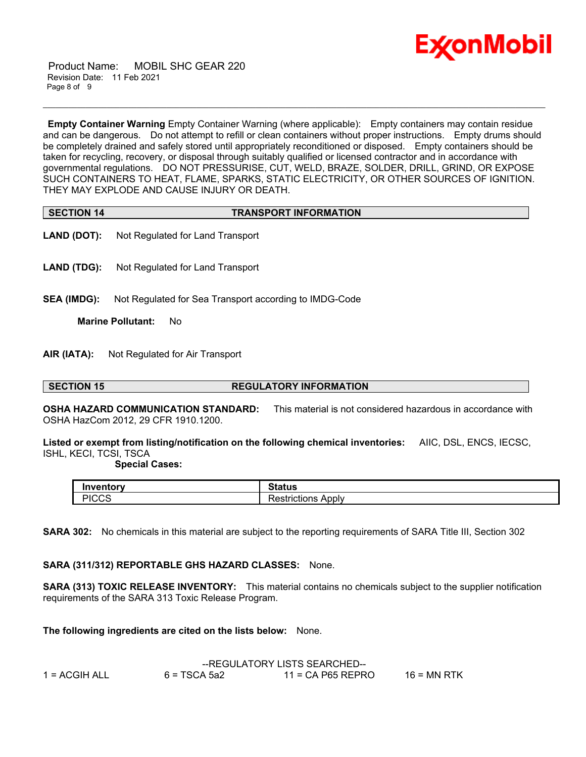

 Product Name: MOBIL SHC GEAR 220 Revision Date: 11 Feb 2021 Page 8 of 9

**Empty Container Warning** Empty Container Warning (where applicable): Empty containers may contain residue and can be dangerous. Do not attempt to refill or clean containers without proper instructions. Empty drums should be completely drained and safely stored until appropriately reconditioned or disposed. Empty containers should be taken for recycling, recovery, or disposal through suitably qualified or licensed contractor and in accordance with governmental regulations. DO NOT PRESSURISE, CUT, WELD, BRAZE, SOLDER, DRILL, GRIND, OR EXPOSE SUCH CONTAINERS TO HEAT, FLAME, SPARKS, STATIC ELECTRICITY, OR OTHER SOURCES OF IGNITION. THEY MAY EXPLODE AND CAUSE INJURY OR DEATH.

\_\_\_\_\_\_\_\_\_\_\_\_\_\_\_\_\_\_\_\_\_\_\_\_\_\_\_\_\_\_\_\_\_\_\_\_\_\_\_\_\_\_\_\_\_\_\_\_\_\_\_\_\_\_\_\_\_\_\_\_\_\_\_\_\_\_\_\_\_\_\_\_\_\_\_\_\_\_\_\_\_\_\_\_\_\_\_\_\_\_\_\_\_\_\_\_\_\_\_\_\_\_\_\_\_\_\_\_\_\_\_\_\_\_\_\_\_\_

| <b>SECTION 14</b> | <b>TRANSPORT INFORMATION</b> |
|-------------------|------------------------------|

- **LAND (DOT):** Not Regulated for Land Transport
- **LAND (TDG):** Not Regulated for Land Transport
- **SEA (IMDG):** Not Regulated for Sea Transport according to IMDG-Code

**Marine Pollutant:** No

**AIR (IATA):** Not Regulated for Air Transport

#### **SECTION 15 REGULATORY INFORMATION**

**OSHA HAZARD COMMUNICATION STANDARD:** This material is not considered hazardous in accordance with OSHA HazCom 2012, 29 CFR 1910.1200.

**Listed or exempt from listing/notification on the following chemical inventories:** AIIC, DSL, ENCS, IECSC, ISHL, KECI, TCSI, TSCA

#### **Special Cases:**

| Inventorv          | $01 - 11$<br>າເaເus                         |
|--------------------|---------------------------------------------|
| <b>PICCS</b><br>ں، | n<br>Apply<br>ataatia wa<br>ncuons<br>GO L. |

**SARA 302:** No chemicals in this material are subject to the reporting requirements of SARA Title III, Section 302

# **SARA (311/312) REPORTABLE GHS HAZARD CLASSES:** None.

**SARA (313) TOXIC RELEASE INVENTORY:** This material contains no chemicals subject to the supplier notification requirements of the SARA 313 Toxic Release Program.

**The following ingredients are cited on the lists below:** None.

|               | --REGULATORY LISTS SEARCHED-- |                     |               |
|---------------|-------------------------------|---------------------|---------------|
| 1 = ACGIH ALL | $6 = TSCA 5a2$                | $11$ = CA P65 REPRO | $16$ = MN RTK |